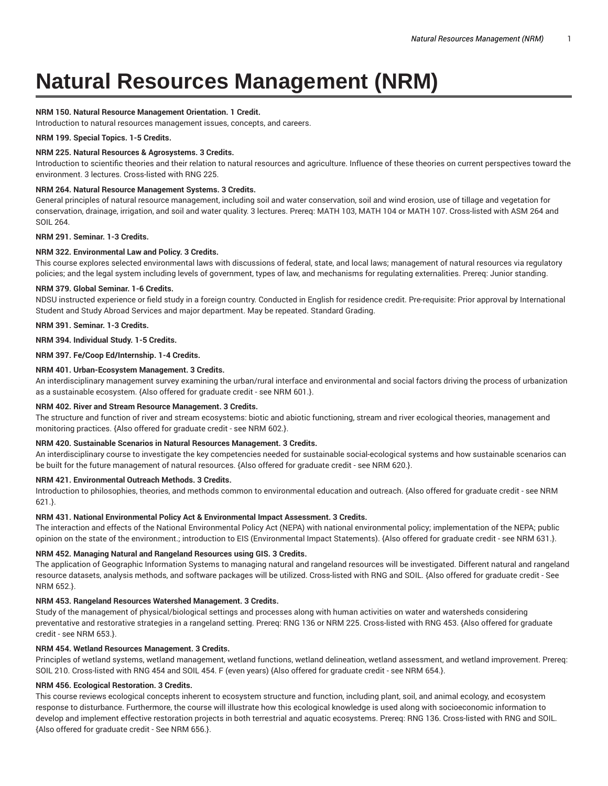# **Natural Resources Management (NRM)**

## **NRM 150. Natural Resource Management Orientation. 1 Credit.**

Introduction to natural resources management issues, concepts, and careers.

### **NRM 199. Special Topics. 1-5 Credits.**

## **NRM 225. Natural Resources & Agrosystems. 3 Credits.**

Introduction to scientific theories and their relation to natural resources and agriculture. Influence of these theories on current perspectives toward the environment. 3 lectures. Cross-listed with RNG 225.

#### **NRM 264. Natural Resource Management Systems. 3 Credits.**

General principles of natural resource management, including soil and water conservation, soil and wind erosion, use of tillage and vegetation for conservation, drainage, irrigation, and soil and water quality. 3 lectures. Prereq: MATH 103, MATH 104 or MATH 107. Cross-listed with ASM 264 and SOIL 264.

## **NRM 291. Seminar. 1-3 Credits.**

## **NRM 322. Environmental Law and Policy. 3 Credits.**

This course explores selected environmental laws with discussions of federal, state, and local laws; management of natural resources via regulatory policies; and the legal system including levels of government, types of law, and mechanisms for regulating externalities. Prereq: Junior standing.

#### **NRM 379. Global Seminar. 1-6 Credits.**

NDSU instructed experience or field study in a foreign country. Conducted in English for residence credit. Pre-requisite: Prior approval by International Student and Study Abroad Services and major department. May be repeated. Standard Grading.

**NRM 391. Seminar. 1-3 Credits.**

**NRM 394. Individual Study. 1-5 Credits.**

### **NRM 397. Fe/Coop Ed/Internship. 1-4 Credits.**

## **NRM 401. Urban-Ecosystem Management. 3 Credits.**

An interdisciplinary management survey examining the urban/rural interface and environmental and social factors driving the process of urbanization as a sustainable ecosystem. {Also offered for graduate credit - see NRM 601.}.

#### **NRM 402. River and Stream Resource Management. 3 Credits.**

The structure and function of river and stream ecosystems: biotic and abiotic functioning, stream and river ecological theories, management and monitoring practices. {Also offered for graduate credit - see NRM 602.}.

#### **NRM 420. Sustainable Scenarios in Natural Resources Management. 3 Credits.**

An interdisciplinary course to investigate the key competencies needed for sustainable social-ecological systems and how sustainable scenarios can be built for the future management of natural resources. {Also offered for graduate credit - see NRM 620.}.

## **NRM 421. Environmental Outreach Methods. 3 Credits.**

Introduction to philosophies, theories, and methods common to environmental education and outreach. {Also offered for graduate credit - see NRM 621.}.

#### **NRM 431. National Environmental Policy Act & Environmental Impact Assessment. 3 Credits.**

The interaction and effects of the National Environmental Policy Act (NEPA) with national environmental policy; implementation of the NEPA; public opinion on the state of the environment.; introduction to EIS (Environmental Impact Statements). {Also offered for graduate credit - see NRM 631.}.

## **NRM 452. Managing Natural and Rangeland Resources using GIS. 3 Credits.**

The application of Geographic Information Systems to managing natural and rangeland resources will be investigated. Different natural and rangeland resource datasets, analysis methods, and software packages will be utilized. Cross-listed with RNG and SOIL. {Also offered for graduate credit - See NRM 652.}.

## **NRM 453. Rangeland Resources Watershed Management. 3 Credits.**

Study of the management of physical/biological settings and processes along with human activities on water and watersheds considering preventative and restorative strategies in a rangeland setting. Prereq: RNG 136 or NRM 225. Cross-listed with RNG 453. {Also offered for graduate credit - see NRM 653.}.

## **NRM 454. Wetland Resources Management. 3 Credits.**

Principles of wetland systems, wetland management, wetland functions, wetland delineation, wetland assessment, and wetland improvement. Prereq: SOIL 210. Cross-listed with RNG 454 and SOIL 454. F (even years) {Also offered for graduate credit - see NRM 654.}.

## **NRM 456. Ecological Restoration. 3 Credits.**

This course reviews ecological concepts inherent to ecosystem structure and function, including plant, soil, and animal ecology, and ecosystem response to disturbance. Furthermore, the course will illustrate how this ecological knowledge is used along with socioeconomic information to develop and implement effective restoration projects in both terrestrial and aquatic ecosystems. Prereq: RNG 136. Cross-listed with RNG and SOIL. {Also offered for graduate credit - See NRM 656.}.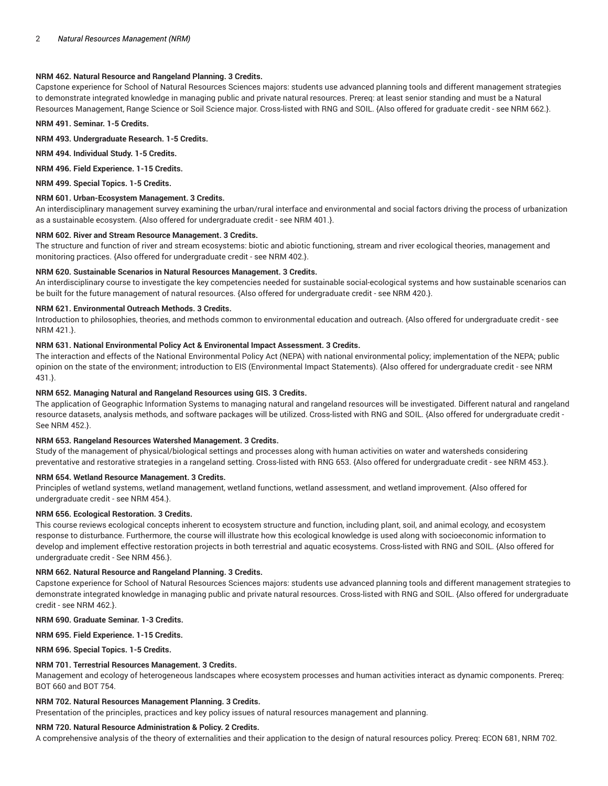## **NRM 462. Natural Resource and Rangeland Planning. 3 Credits.**

Capstone experience for School of Natural Resources Sciences majors: students use advanced planning tools and different management strategies to demonstrate integrated knowledge in managing public and private natural resources. Prereq: at least senior standing and must be a Natural Resources Management, Range Science or Soil Science major. Cross-listed with RNG and SOIL. {Also offered for graduate credit - see NRM 662.}.

**NRM 491. Seminar. 1-5 Credits.**

**NRM 493. Undergraduate Research. 1-5 Credits.**

**NRM 494. Individual Study. 1-5 Credits.**

**NRM 496. Field Experience. 1-15 Credits.**

**NRM 499. Special Topics. 1-5 Credits.**

#### **NRM 601. Urban-Ecosystem Management. 3 Credits.**

An interdisciplinary management survey examining the urban/rural interface and environmental and social factors driving the process of urbanization as a sustainable ecosystem. {Also offered for undergraduate credit - see NRM 401.}.

#### **NRM 602. River and Stream Resource Management. 3 Credits.**

The structure and function of river and stream ecosystems: biotic and abiotic functioning, stream and river ecological theories, management and monitoring practices. {Also offered for undergraduate credit - see NRM 402.}.

#### **NRM 620. Sustainable Scenarios in Natural Resources Management. 3 Credits.**

An interdisciplinary course to investigate the key competencies needed for sustainable social-ecological systems and how sustainable scenarios can be built for the future management of natural resources. {Also offered for undergraduate credit - see NRM 420.}.

#### **NRM 621. Environmental Outreach Methods. 3 Credits.**

Introduction to philosophies, theories, and methods common to environmental education and outreach. {Also offered for undergraduate credit - see NRM 421.}.

#### **NRM 631. National Environmental Policy Act & Environental Impact Assessment. 3 Credits.**

The interaction and effects of the National Environmental Policy Act (NEPA) with national environmental policy; implementation of the NEPA; public opinion on the state of the environment; introduction to EIS (Environmental Impact Statements). {Also offered for undergraduate credit - see NRM 431.}.

### **NRM 652. Managing Natural and Rangeland Resources using GIS. 3 Credits.**

The application of Geographic Information Systems to managing natural and rangeland resources will be investigated. Different natural and rangeland resource datasets, analysis methods, and software packages will be utilized. Cross-listed with RNG and SOIL. {Also offered for undergraduate credit - See NRM 452.}.

#### **NRM 653. Rangeland Resources Watershed Management. 3 Credits.**

Study of the management of physical/biological settings and processes along with human activities on water and watersheds considering preventative and restorative strategies in a rangeland setting. Cross-listed with RNG 653. {Also offered for undergraduate credit - see NRM 453.}.

#### **NRM 654. Wetland Resource Management. 3 Credits.**

Principles of wetland systems, wetland management, wetland functions, wetland assessment, and wetland improvement. {Also offered for undergraduate credit - see NRM 454.}.

## **NRM 656. Ecological Restoration. 3 Credits.**

This course reviews ecological concepts inherent to ecosystem structure and function, including plant, soil, and animal ecology, and ecosystem response to disturbance. Furthermore, the course will illustrate how this ecological knowledge is used along with socioeconomic information to develop and implement effective restoration projects in both terrestrial and aquatic ecosystems. Cross-listed with RNG and SOIL. {Also offered for undergraduate credit - See NRM 456.}.

#### **NRM 662. Natural Resource and Rangeland Planning. 3 Credits.**

Capstone experience for School of Natural Resources Sciences majors: students use advanced planning tools and different management strategies to demonstrate integrated knowledge in managing public and private natural resources. Cross-listed with RNG and SOIL. {Also offered for undergraduate credit - see NRM 462.}.

**NRM 690. Graduate Seminar. 1-3 Credits.**

**NRM 695. Field Experience. 1-15 Credits.**

**NRM 696. Special Topics. 1-5 Credits.**

## **NRM 701. Terrestrial Resources Management. 3 Credits.**

Management and ecology of heterogeneous landscapes where ecosystem processes and human activities interact as dynamic components. Prereq: BOT 660 and BOT 754.

## **NRM 702. Natural Resources Management Planning. 3 Credits.**

Presentation of the principles, practices and key policy issues of natural resources management and planning.

## **NRM 720. Natural Resource Administration & Policy. 2 Credits.**

A comprehensive analysis of the theory of externalities and their application to the design of natural resources policy. Prereq: ECON 681, NRM 702.